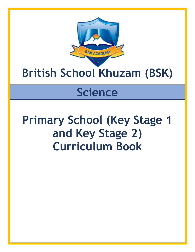

# **British School Khuzam (BSK)**

# **Science**

# **Primary School (Key Stage 1 and Key Stage 2) Curriculum Book**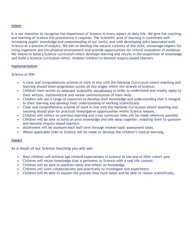#### **Intent**

It is our intention to recognise the importance of Science in every aspect of daily life. We give the teaching and learning of Science the prominence it requires. The Scientific area of learning is concerned with increasing pupils' knowledge and understanding of our world, and with developing skills associated with Science as a process of enquiry. We aim to develop the natural curiosity of the child, encourage respect for living organisms and the physical environment and provide opportunities for critical evaluation of evidence. We intend to build a Science curriculum which develops learning and results in the acquisition of knowledge and build a Science curriculum which, enables children to become enquiry-based learners.

#### **Implementation**

Science at BSK:

- A clear and comprehensive scheme of work in line with the National Curriculum where teaching and learning should show progression across all key stages within the strands of Science.
- Children have access to relevant scientific vocabulary in order to understand and readily apply to their written, mathematical and verbal communication of their skills.
- Children will use a range of resources to develop their knowledge and understanding that is integral to their learning and develop their understanding of working scientifically.
- Clear and comprehensive scheme of work in line with the National Curriculum where teaching and learning should plan for practical investigative opportunities within Science lessons.
- Children will reflect on previous learning and cross curricular links will be made wherever possible
- Children will be able to build on prior knowledge and link ideas together, enabling them to question and become enquiry-based learners.
- Attainment will be assessed each half term through related topic assessment tasks.
- Where applicable links to Science will be made to develop the children's topical learning.

#### **Impact**

As a result of our Science teaching you will see:

- Most children will achieve age related expectations in Science at the end of their cohort year.
- Children will retain knowledge that is pertinent to Science with a real life context.
- Children will be able to question ideas and reflect on knowledge.
- Children will work collaboratively and practically to investigate and experiment.
- Children will be able to explain the process they have taken and be able to reason scientifically.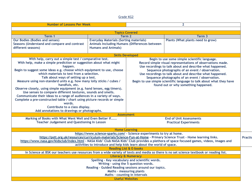#### Grade KG2

| <b>Number of Lessons Per Week</b>                                                                                                                                                                                                                                                                                                                                                                                                                                                                                                                                                                                                                                                                                                                                                             |                                                                                                                              | $\overline{2}$                                                                                                                                                                                                                                                                                                                                                                                                                                            |                                   |  |
|-----------------------------------------------------------------------------------------------------------------------------------------------------------------------------------------------------------------------------------------------------------------------------------------------------------------------------------------------------------------------------------------------------------------------------------------------------------------------------------------------------------------------------------------------------------------------------------------------------------------------------------------------------------------------------------------------------------------------------------------------------------------------------------------------|------------------------------------------------------------------------------------------------------------------------------|-----------------------------------------------------------------------------------------------------------------------------------------------------------------------------------------------------------------------------------------------------------------------------------------------------------------------------------------------------------------------------------------------------------------------------------------------------------|-----------------------------------|--|
|                                                                                                                                                                                                                                                                                                                                                                                                                                                                                                                                                                                                                                                                                                                                                                                               |                                                                                                                              | <b>Topics Covered</b>                                                                                                                                                                                                                                                                                                                                                                                                                                     |                                   |  |
| Term 1                                                                                                                                                                                                                                                                                                                                                                                                                                                                                                                                                                                                                                                                                                                                                                                        | Term 2                                                                                                                       |                                                                                                                                                                                                                                                                                                                                                                                                                                                           | Term 3                            |  |
| <b>Our Bodies (Bodies and senses)</b><br>Seasons (Understand and compare and contrast<br>different seasons)                                                                                                                                                                                                                                                                                                                                                                                                                                                                                                                                                                                                                                                                                   | <b>Everyday Materials (Sorting materials)</b><br>Animals Including Humans (Differences between<br><b>Humans and Animals)</b> |                                                                                                                                                                                                                                                                                                                                                                                                                                                           | Plants (What plants need to grow) |  |
|                                                                                                                                                                                                                                                                                                                                                                                                                                                                                                                                                                                                                                                                                                                                                                                               |                                                                                                                              | <b>Skills Developed</b>                                                                                                                                                                                                                                                                                                                                                                                                                                   |                                   |  |
| With help, carry out a simple test / comparative test.<br>With help, make a simple prediction or suggestion about what might<br>happen.<br>Begin to suggest some ideas e.g. choose which equipment to use, choose<br>which materials to test from a selection.<br>Talk about ways of setting up a test.<br>Measure using non-standard units e.g. how many lolly sticks / cubes /<br>handfuls, etc.<br>Observe closely, using simple equipment (e.g. hand lenses, egg timers).<br>Use senses to compare different textures, sounds and smells.<br>Communicate their ideas to a range of audiences in a variety of ways.<br>Complete a pre-constructed table / chart using picture records or simple<br>words.<br>Contribute to a class display.<br>Add annotations to drawings or photographs. |                                                                                                                              | Begin to use some simple scientific language.<br>Record simple visual representations of observations made.<br>Use recordings to talk about and describe what happened.<br>Sequence photographs of an event / observation.<br>Use recordings to talk about and describe what happened.<br>Sequence photographs of an event / observation.<br>Begin to use simple scientific language to talk about what they have<br>found out or why something happened. |                                   |  |
|                                                                                                                                                                                                                                                                                                                                                                                                                                                                                                                                                                                                                                                                                                                                                                                               |                                                                                                                              | <b>Assessment</b>                                                                                                                                                                                                                                                                                                                                                                                                                                         | <b>End of Unit Assessments</b>    |  |
| Marking of Books with What Went Well and Even Better If<br><b>Teacher Judgement and Questioning In Lesson</b>                                                                                                                                                                                                                                                                                                                                                                                                                                                                                                                                                                                                                                                                                 |                                                                                                                              | <b>Practical Experiments</b>                                                                                                                                                                                                                                                                                                                                                                                                                              |                                   |  |
| <b>Home Learning</b>                                                                                                                                                                                                                                                                                                                                                                                                                                                                                                                                                                                                                                                                                                                                                                          |                                                                                                                              |                                                                                                                                                                                                                                                                                                                                                                                                                                                           |                                   |  |
| https://www.science-sparks.com/ - Science experiments to try at home.<br>https://pstt.org.uk/resources/curriculum-materials/Science-Fun-at-Home - Primary Science Trust - Home learning links.<br>https://www.nasa.gov/kidsclub/index.html - NASA Kids' Club NASA Kids' Club provides a plethora of space focused games, videos, images and<br>activities to introduce and help kids learn about the world of space.                                                                                                                                                                                                                                                                                                                                                                          |                                                                                                                              |                                                                                                                                                                                                                                                                                                                                                                                                                                                           | Practio                           |  |
| <b>Reading List &amp; E-books</b>                                                                                                                                                                                                                                                                                                                                                                                                                                                                                                                                                                                                                                                                                                                                                             |                                                                                                                              |                                                                                                                                                                                                                                                                                                                                                                                                                                                           |                                   |  |
| In Science at BSK our teachers use resources from a wide variety of texts and media so there is no set science textbook or reading list.                                                                                                                                                                                                                                                                                                                                                                                                                                                                                                                                                                                                                                                      |                                                                                                                              |                                                                                                                                                                                                                                                                                                                                                                                                                                                           |                                   |  |
| <b>Literacy &amp; Numeracy</b>                                                                                                                                                                                                                                                                                                                                                                                                                                                                                                                                                                                                                                                                                                                                                                |                                                                                                                              |                                                                                                                                                                                                                                                                                                                                                                                                                                                           |                                   |  |
| Spelling - Key vocabulary and scientific words.<br>Writing - using the 5 question words.                                                                                                                                                                                                                                                                                                                                                                                                                                                                                                                                                                                                                                                                                                      |                                                                                                                              |                                                                                                                                                                                                                                                                                                                                                                                                                                                           |                                   |  |
| Reading - Guided Reading sessions around our topics.                                                                                                                                                                                                                                                                                                                                                                                                                                                                                                                                                                                                                                                                                                                                          |                                                                                                                              |                                                                                                                                                                                                                                                                                                                                                                                                                                                           |                                   |  |
| Maths - measuring plants                                                                                                                                                                                                                                                                                                                                                                                                                                                                                                                                                                                                                                                                                                                                                                      |                                                                                                                              |                                                                                                                                                                                                                                                                                                                                                                                                                                                           |                                   |  |
|                                                                                                                                                                                                                                                                                                                                                                                                                                                                                                                                                                                                                                                                                                                                                                                               |                                                                                                                              | Maths - counting in intervals                                                                                                                                                                                                                                                                                                                                                                                                                             |                                   |  |
|                                                                                                                                                                                                                                                                                                                                                                                                                                                                                                                                                                                                                                                                                                                                                                                               |                                                                                                                              | <b>Useful Websites</b>                                                                                                                                                                                                                                                                                                                                                                                                                                    |                                   |  |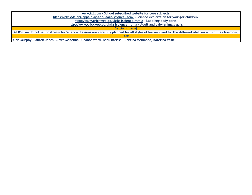| www.ixl.com - School subscribed website for core subjects.                                                                                                 |
|------------------------------------------------------------------------------------------------------------------------------------------------------------|
| https://pbskids.org/apps/play-and-learn-science-.html - Science exploration for younger children.                                                          |
| http://www.crickweb.co.uk/ks1science.html# - Labelling body parts.                                                                                         |
| http://www.crickweb.co.uk/ks1science.html# - Adult and baby animals quiz.                                                                                  |
| Setting (if any)                                                                                                                                           |
| At BSK we do not set or stream for Science. Lessons are carefully planned for all styles of learners and for the different abilities within the classroom. |
| <b>Staff</b>                                                                                                                                               |
| Orla Murphy, Lauren Jones, Claire McKenna, Eleanor Ward, Banu Barissal, Cristina Mehmood, Katerina Vasic                                                   |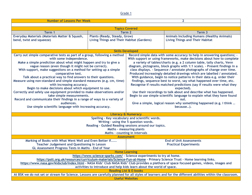| <b>Number of Lessons Per Week</b>                                                                                                                                                                                                                                                                                                                                                                                    |                                                                                                                                                                                                                                                                                                                                                                                                                                                                                                                                                                                                                                                                                                                                | $\overline{2}$                                                 |                                                                                                                                                                                                                                                                                                                                                                                                                                                                                                                                                                                                                                                                                                                                                                                                                                                                                                                                        |  |
|----------------------------------------------------------------------------------------------------------------------------------------------------------------------------------------------------------------------------------------------------------------------------------------------------------------------------------------------------------------------------------------------------------------------|--------------------------------------------------------------------------------------------------------------------------------------------------------------------------------------------------------------------------------------------------------------------------------------------------------------------------------------------------------------------------------------------------------------------------------------------------------------------------------------------------------------------------------------------------------------------------------------------------------------------------------------------------------------------------------------------------------------------------------|----------------------------------------------------------------|----------------------------------------------------------------------------------------------------------------------------------------------------------------------------------------------------------------------------------------------------------------------------------------------------------------------------------------------------------------------------------------------------------------------------------------------------------------------------------------------------------------------------------------------------------------------------------------------------------------------------------------------------------------------------------------------------------------------------------------------------------------------------------------------------------------------------------------------------------------------------------------------------------------------------------------|--|
|                                                                                                                                                                                                                                                                                                                                                                                                                      |                                                                                                                                                                                                                                                                                                                                                                                                                                                                                                                                                                                                                                                                                                                                |                                                                |                                                                                                                                                                                                                                                                                                                                                                                                                                                                                                                                                                                                                                                                                                                                                                                                                                                                                                                                        |  |
| <b>Topics Covered</b>                                                                                                                                                                                                                                                                                                                                                                                                |                                                                                                                                                                                                                                                                                                                                                                                                                                                                                                                                                                                                                                                                                                                                |                                                                |                                                                                                                                                                                                                                                                                                                                                                                                                                                                                                                                                                                                                                                                                                                                                                                                                                                                                                                                        |  |
| Term 1                                                                                                                                                                                                                                                                                                                                                                                                               | Term <sub>2</sub>                                                                                                                                                                                                                                                                                                                                                                                                                                                                                                                                                                                                                                                                                                              |                                                                | Term <sub>3</sub>                                                                                                                                                                                                                                                                                                                                                                                                                                                                                                                                                                                                                                                                                                                                                                                                                                                                                                                      |  |
| Everyday Materials (Materials Matter & Squash,                                                                                                                                                                                                                                                                                                                                                                       | Plants (Ready, Steady, Grow)                                                                                                                                                                                                                                                                                                                                                                                                                                                                                                                                                                                                                                                                                                   |                                                                | <b>Animals Including Humans (Healthy Animals)</b>                                                                                                                                                                                                                                                                                                                                                                                                                                                                                                                                                                                                                                                                                                                                                                                                                                                                                      |  |
| bend, twist and squeeze)                                                                                                                                                                                                                                                                                                                                                                                             | <b>Living Things and Their Habitat (Gardens)</b>                                                                                                                                                                                                                                                                                                                                                                                                                                                                                                                                                                                                                                                                               |                                                                | <b>Living Things and Their Habitat</b>                                                                                                                                                                                                                                                                                                                                                                                                                                                                                                                                                                                                                                                                                                                                                                                                                                                                                                 |  |
|                                                                                                                                                                                                                                                                                                                                                                                                                      |                                                                                                                                                                                                                                                                                                                                                                                                                                                                                                                                                                                                                                                                                                                                |                                                                |                                                                                                                                                                                                                                                                                                                                                                                                                                                                                                                                                                                                                                                                                                                                                                                                                                                                                                                                        |  |
|                                                                                                                                                                                                                                                                                                                                                                                                                      |                                                                                                                                                                                                                                                                                                                                                                                                                                                                                                                                                                                                                                                                                                                                |                                                                |                                                                                                                                                                                                                                                                                                                                                                                                                                                                                                                                                                                                                                                                                                                                                                                                                                                                                                                                        |  |
|                                                                                                                                                                                                                                                                                                                                                                                                                      |                                                                                                                                                                                                                                                                                                                                                                                                                                                                                                                                                                                                                                                                                                                                | <b>Skills Developed</b>                                        |                                                                                                                                                                                                                                                                                                                                                                                                                                                                                                                                                                                                                                                                                                                                                                                                                                                                                                                                        |  |
| comparative test.<br>audiences.                                                                                                                                                                                                                                                                                                                                                                                      | Carry out simple comparative tests as part of a group, following a method<br>with some independence.<br>Make a simple prediction about what might happen and try to give a<br>vague reason (even though it might not be correct).<br>With support, make suggestions on a method for setting up a simple<br>Talk about a practical way to find answers to their questions.<br>Measure using non-standard and simple standard measures (e.g. cm, time)<br>with increasing accuracy.<br>Begin to make decisions about which equipment to use.<br>Correctly and safely use equipment provided to make observations and/or<br>take simple measurements.<br>Record and communicate their findings in a range of ways to a variety of |                                                                | Record simple data with some accuracy to help in answering questions; -<br>With support or using frameworks, make decisions about how to complete<br>a variety of tables/charts (e.g. a 2 column table, tally charts, Venn<br>diagram, pictograms, block graphs with 1:1 scale). - Present findings in a<br>class displays. - Sequence / annotate photographs of change over time.<br>Produced increasingly detailed drawings which are labelled / annotated.<br>With guidance, begin to notice patterns in their data e.g. order their<br>findings, sequence best to worst, say what happened over time, etc.<br>Recognise if results matched predictions (say if results were what they<br>expected).<br>Use their recordings to talk about and describe what has happened.<br>Begin to use simple scientific language to explain what they have found<br>out.<br>Give a simple, logical reason why something happened (e.g. I think |  |
| Use simple scientific language with increasing accuracy.                                                                                                                                                                                                                                                                                                                                                             |                                                                                                                                                                                                                                                                                                                                                                                                                                                                                                                                                                                                                                                                                                                                |                                                                | because).                                                                                                                                                                                                                                                                                                                                                                                                                                                                                                                                                                                                                                                                                                                                                                                                                                                                                                                              |  |
|                                                                                                                                                                                                                                                                                                                                                                                                                      |                                                                                                                                                                                                                                                                                                                                                                                                                                                                                                                                                                                                                                                                                                                                | <b>Literacy &amp; Numeracy</b>                                 |                                                                                                                                                                                                                                                                                                                                                                                                                                                                                                                                                                                                                                                                                                                                                                                                                                                                                                                                        |  |
| Spelling - Key vocabulary and scientific words.<br>Writing - using the 5 question words.<br>Reading - Guided Reading sessions around our topics.                                                                                                                                                                                                                                                                     |                                                                                                                                                                                                                                                                                                                                                                                                                                                                                                                                                                                                                                                                                                                                |                                                                |                                                                                                                                                                                                                                                                                                                                                                                                                                                                                                                                                                                                                                                                                                                                                                                                                                                                                                                                        |  |
|                                                                                                                                                                                                                                                                                                                                                                                                                      |                                                                                                                                                                                                                                                                                                                                                                                                                                                                                                                                                                                                                                                                                                                                | <b>Maths - measuring plants</b>                                |                                                                                                                                                                                                                                                                                                                                                                                                                                                                                                                                                                                                                                                                                                                                                                                                                                                                                                                                        |  |
|                                                                                                                                                                                                                                                                                                                                                                                                                      | Maths - counting in intervals                                                                                                                                                                                                                                                                                                                                                                                                                                                                                                                                                                                                                                                                                                  |                                                                |                                                                                                                                                                                                                                                                                                                                                                                                                                                                                                                                                                                                                                                                                                                                                                                                                                                                                                                                        |  |
| <b>Assessment</b>                                                                                                                                                                                                                                                                                                                                                                                                    |                                                                                                                                                                                                                                                                                                                                                                                                                                                                                                                                                                                                                                                                                                                                |                                                                |                                                                                                                                                                                                                                                                                                                                                                                                                                                                                                                                                                                                                                                                                                                                                                                                                                                                                                                                        |  |
| Marking of Books with What Went Well and Even Better If<br>Teacher Judgement and Questioning In Lesson<br>GL Assessment Progress Tests in Maths - End of Year                                                                                                                                                                                                                                                        |                                                                                                                                                                                                                                                                                                                                                                                                                                                                                                                                                                                                                                                                                                                                | <b>End of Unit Assessments</b><br><b>Practical Experiments</b> |                                                                                                                                                                                                                                                                                                                                                                                                                                                                                                                                                                                                                                                                                                                                                                                                                                                                                                                                        |  |
| <b>Home Learning</b>                                                                                                                                                                                                                                                                                                                                                                                                 |                                                                                                                                                                                                                                                                                                                                                                                                                                                                                                                                                                                                                                                                                                                                |                                                                |                                                                                                                                                                                                                                                                                                                                                                                                                                                                                                                                                                                                                                                                                                                                                                                                                                                                                                                                        |  |
| https://www.science-sparks.com/ - Science experiments to try at home.<br>https://pstt.org.uk/resources/curriculum-materials/Science-Fun-at-Home - Primary Science Trust - Home learning links.<br>https://www.nasa.gov/kidsclub/index.html - NASA Kids' Club NASA Kids' Club provides a plethora of space focused games, videos, images and<br>activities to introduce and help kids learn about the world of space. |                                                                                                                                                                                                                                                                                                                                                                                                                                                                                                                                                                                                                                                                                                                                |                                                                |                                                                                                                                                                                                                                                                                                                                                                                                                                                                                                                                                                                                                                                                                                                                                                                                                                                                                                                                        |  |
| <b>Reading List &amp; E-books</b>                                                                                                                                                                                                                                                                                                                                                                                    |                                                                                                                                                                                                                                                                                                                                                                                                                                                                                                                                                                                                                                                                                                                                |                                                                |                                                                                                                                                                                                                                                                                                                                                                                                                                                                                                                                                                                                                                                                                                                                                                                                                                                                                                                                        |  |
| At BSK we do not set or stream for Science. Lessons are carefully planned for all styles of learners and for the different abilities within the classroom.<br><b>Useful Websites</b>                                                                                                                                                                                                                                 |                                                                                                                                                                                                                                                                                                                                                                                                                                                                                                                                                                                                                                                                                                                                |                                                                |                                                                                                                                                                                                                                                                                                                                                                                                                                                                                                                                                                                                                                                                                                                                                                                                                                                                                                                                        |  |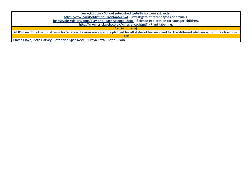| www.ixl.com - School subscribed website for core subjects.                                                                                                 |
|------------------------------------------------------------------------------------------------------------------------------------------------------------|
| http://www.parkfieldict.co.uk/infant/a.swf - Investigate different types of animals.                                                                       |
| https://pbskids.org/apps/play-and-learn-science-.html - Science exploration for younger children.                                                          |
| http://www.crickweb.co.uk/ks1science.html# - Plant labelling.                                                                                              |
| Setting (if any)                                                                                                                                           |
| At BSK we do not set or stream for Science. Lessons are carefully planned for all styles of learners and for the different abilities within the classroom. |
| <b>Staff</b>                                                                                                                                               |
| Emma Lloyd, Beth Harvey, Katherine Spanswick, Sureya Fazal, Katie Dixon                                                                                    |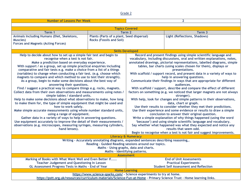| <b>Number of Lessons Per Week</b>                                                                                     |                                                                                     | $\overline{2}$                                                                       |                                                                                                                                         |  |
|-----------------------------------------------------------------------------------------------------------------------|-------------------------------------------------------------------------------------|--------------------------------------------------------------------------------------|-----------------------------------------------------------------------------------------------------------------------------------------|--|
|                                                                                                                       |                                                                                     |                                                                                      |                                                                                                                                         |  |
| <b>Topics Covered</b>                                                                                                 |                                                                                     |                                                                                      |                                                                                                                                         |  |
| Term 1                                                                                                                | Term <sub>2</sub>                                                                   |                                                                                      | Term 3                                                                                                                                  |  |
| Animals Including Humans (Diet, Skeletons,                                                                            | Plants (Parts of a plant, Seed dispersal)                                           |                                                                                      | Light (Reflections, Shadows)                                                                                                            |  |
| <b>Muscles</b> )                                                                                                      | <b>Rocks (Fossils and Soil)</b>                                                     |                                                                                      |                                                                                                                                         |  |
| <b>Forces and Magnets (Acting Forces)</b>                                                                             |                                                                                     |                                                                                      |                                                                                                                                         |  |
|                                                                                                                       |                                                                                     |                                                                                      |                                                                                                                                         |  |
|                                                                                                                       |                                                                                     | <b>Skills Developed</b>                                                              |                                                                                                                                         |  |
| Help to decide about how to set up a simple fair test and begin to                                                    |                                                                                     | Record and present findings using simple scientific language and                     |                                                                                                                                         |  |
| recognise when a test is not fair.                                                                                    |                                                                                     | vocabulary, including discussions, oral and written explanations, notes,             |                                                                                                                                         |  |
| Make a prediction based on everyday experience.                                                                       |                                                                                     | annotated drawings, pictorial representations, labelled diagrams, simple             |                                                                                                                                         |  |
| With support / as a group, set up simple practical enquiries including                                                |                                                                                     |                                                                                      | tables, bar charts (using scales chosen for them), displays or                                                                          |  |
| comparative and fair tests e.g. make a choice from a list of a things                                                 |                                                                                     |                                                                                      | presentations.                                                                                                                          |  |
| (variables) to change when conducting a fair test. (e.g. choose which                                                 |                                                                                     |                                                                                      | With scaffold / support record, and present data in a variety of ways to                                                                |  |
| magnets to compare and which method to use to test their strength).                                                   |                                                                                     |                                                                                      | help in answering questions.                                                                                                            |  |
| As a group, begin to make some decisions about the best way of                                                        |                                                                                     |                                                                                      | Communicate their findings in ways that are appropriate for different                                                                   |  |
| answering their questions.                                                                                            |                                                                                     |                                                                                      | audiences.                                                                                                                              |  |
| Find / suggest a practical way to compare things e.g. rocks, magnets.                                                 |                                                                                     | With scaffold / support, describe and compare the effect of different                |                                                                                                                                         |  |
| Collect data from their own observations and measurements using notes /                                               |                                                                                     | factors on something (e.g. we noticed that larger magnets are not always             |                                                                                                                                         |  |
| simple tables / standard units.                                                                                       |                                                                                     | stronger).<br>With help, look for changes and simple patterns in their observations, |                                                                                                                                         |  |
| Help to make some decisions about what observations to make, how long                                                 |                                                                                     |                                                                                      | data, chart or graph.                                                                                                                   |  |
| to make them for, the type of simple equipment that might be used and                                                 |                                                                                     |                                                                                      |                                                                                                                                         |  |
| how to work safely.                                                                                                   |                                                                                     |                                                                                      | Use their results to consider whether they met their predictions.<br>Use their experience and some evidence or results to draw a simple |  |
| Make simple accurate measurements using whole number standard units,<br>using a range of equipment.                   |                                                                                     | conclusion to answer their original question.                                        |                                                                                                                                         |  |
| Gather data in a variety of ways to help in answering questions.                                                      |                                                                                     | Write a simple explanation of why things happened (using the word                    |                                                                                                                                         |  |
| Use equipment accurately to improve the detail of their measurements /                                                |                                                                                     | 'because') and using simple scientific language and vocabulary.                      |                                                                                                                                         |  |
| observations (e.g. microscopes, measuring syringes, measuring cylinders,                                              |                                                                                     | Say whether what happened was what they expected and notice any                      |                                                                                                                                         |  |
| hand lenses).                                                                                                         |                                                                                     | results that seem odd.                                                               |                                                                                                                                         |  |
|                                                                                                                       |                                                                                     |                                                                                      | Begin to recognise when a test is not fair and suggest improvements.                                                                    |  |
| <b>Literacy &amp; Numeracy</b>                                                                                        |                                                                                     |                                                                                      |                                                                                                                                         |  |
|                                                                                                                       | Writing - Accurately annotating diagrams, expanded sentences describing reasoning,. |                                                                                      |                                                                                                                                         |  |
|                                                                                                                       | Reading - Guided Reading sessions around our topics.                                |                                                                                      |                                                                                                                                         |  |
| Maths - Using graphs, data and charts.                                                                                |                                                                                     |                                                                                      |                                                                                                                                         |  |
| Maths - Identifying patterns.                                                                                         |                                                                                     |                                                                                      |                                                                                                                                         |  |
| <b>Assessment</b>                                                                                                     |                                                                                     |                                                                                      |                                                                                                                                         |  |
| Marking of Books with What Went Well and Even Better If                                                               |                                                                                     |                                                                                      | <b>End of Unit Assessments</b>                                                                                                          |  |
| <b>Teacher Judgement and Questioning In Lesson</b>                                                                    |                                                                                     | <b>Practical Experiments</b>                                                         |                                                                                                                                         |  |
| GL Assessment Progress Tests in Maths - End of Year                                                                   |                                                                                     | <b>Student Self Assessment and Reflection</b>                                        |                                                                                                                                         |  |
|                                                                                                                       |                                                                                     | <b>Home Learning</b>                                                                 |                                                                                                                                         |  |
| https://www.science-sparks.com/ - Science experiments to try at home.                                                 |                                                                                     |                                                                                      |                                                                                                                                         |  |
| https://pstt.org.uk/resources/curriculum-materials/Science-Fun-at-Home - Primary Science Trust - Home learning links. |                                                                                     |                                                                                      |                                                                                                                                         |  |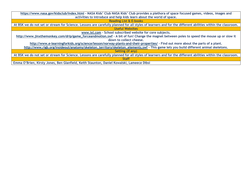| https://www.nasa.gov/kidsclub/index.html - NASA Kids' Club NASA Kids' Club provides a plethora of space focused games, videos, images and<br>activities to introduce and help kids learn about the world of space. |
|--------------------------------------------------------------------------------------------------------------------------------------------------------------------------------------------------------------------|
| <b>Reading List &amp; E-books</b>                                                                                                                                                                                  |
| At BSK we do not set or stream for Science. Lessons are carefully planned for all styles of learners and for the different abilities within the classroom.                                                         |
| <b>Useful Websites</b>                                                                                                                                                                                             |
| www.ixl.com - School subscribed website for core subjects.                                                                                                                                                         |
| http://www.jinxthemonkey.com/drip/game_forceandmotion.swf - A bit of fun! Change the magnet between poles to speed the mouse up or slow it                                                                         |
| down to collect cheese.                                                                                                                                                                                            |
| http://www.e-learningforkids.org/science/lesson/norway-plants-and-their-properties/ - Find out more about the parts of a plant.                                                                                    |
| http://www.rigb.org/insideout/anatomy/skeleton_territory/skeleton_elements.swf - This game lets you build different animal skeletons.                                                                              |
| Setting (if any)                                                                                                                                                                                                   |
| At BSK we do not set or stream for Science. Lessons are carefully planned for all styles of learners and for the different abilities within the classroom.                                                         |
| <b>Staff</b>                                                                                                                                                                                                       |
| Emma O'Brien, Kirsty Jones, Ben Glanfield, Keith Staunton, Daniel Kowalski, Lameece Dibsi                                                                                                                          |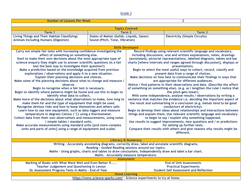| <b>Number of Lessons Per Week</b>                                                                                             |                                                                       | $\overline{2}$                                                                                         |                                                                             |  |
|-------------------------------------------------------------------------------------------------------------------------------|-----------------------------------------------------------------------|--------------------------------------------------------------------------------------------------------|-----------------------------------------------------------------------------|--|
|                                                                                                                               |                                                                       |                                                                                                        |                                                                             |  |
| <b>Topics Covered</b>                                                                                                         |                                                                       |                                                                                                        |                                                                             |  |
| Term 1                                                                                                                        | Term 2                                                                |                                                                                                        | Term 3                                                                      |  |
| <b>Living Things and Their Habitat Classifying)</b>                                                                           | <b>States of Matter (Solids, Liquids, Gases)</b>                      |                                                                                                        | <b>Electricity (Simple Circuits)</b>                                        |  |
| <b>Animals Including Humans (Digestion)</b>                                                                                   | Sound (Pitch, Tone, Vibration)                                        |                                                                                                        |                                                                             |  |
|                                                                                                                               |                                                                       | <b>Skills Developed</b>                                                                                |                                                                             |  |
| Carry out simple fair tests with increasing confidence investigating the                                                      |                                                                       |                                                                                                        | Record findings using relevant scientific language and vocabulary,          |  |
| effect of something on something else.                                                                                        |                                                                       | including discussions, oral and written explanations, notes, drawings                                  |                                                                             |  |
| Start to make their own decisions about the most appropriate type of                                                          |                                                                       | (annotated), pictorial representations, labelled diagrams, tables and bar                              |                                                                             |  |
| science enquiry they might use to answer scientific questions (is a fair<br>test the best way to investigate their question?) |                                                                       | charts [where intervals and ranges agreed through discussion], displays or<br>presentations.           |                                                                             |  |
| Make a prediction based on the knowledge acquired from previous                                                               |                                                                       |                                                                                                        | Begin to select the most useful ways to collect, record, classify and       |  |
| explorations / observations and apply it to a new situation.                                                                  |                                                                       |                                                                                                        | present data from a range of choices.                                       |  |
| Explain their planning decisions and choices.                                                                                 |                                                                       |                                                                                                        | Make decisions on how best to communicate their findings in ways that       |  |
| Make some of the planning decisions about what to change and measure /                                                        |                                                                       |                                                                                                        | are appropriate for different audiences.                                    |  |
| observe.                                                                                                                      |                                                                       |                                                                                                        | Notice / find patterns in their observations and data. (Describe the effect |  |
| Begin to recognise when a fair test is necessary.                                                                             |                                                                       | of something on something else). (e.g. as I lengthen the ruler I notice that                           |                                                                             |  |
| Begin to identify where patterns might be found and use this to begin to                                                      |                                                                       | the pitch gets lower).<br>With some independence, analyse results / observations by writing a          |                                                                             |  |
| identify what data to collect.<br>Make more of the decisions about what observations to make, how long to                     |                                                                       | sentence that matches the evidence i.e. deciding the important aspect of                               |                                                                             |  |
| make them for and the type of equipment that might be used.                                                                   |                                                                       | the result and summarising in a conclusion (e.g. metals tend to be good                                |                                                                             |  |
| Recognise obvious risks and how to keep themselves and others safe.                                                           |                                                                       |                                                                                                        | conductors of electricity).                                                 |  |
| Learn how to use new equipment, such as data loggers and measure                                                              |                                                                       |                                                                                                        | Begin to develop their ideas about relationships and interactions between   |  |
| temperature in degrees Celsius (°C) using a thermometer.                                                                      |                                                                       | things and explain them. Use relevant scientific language and vocabulary                               |                                                                             |  |
| Collect data from their own observations and measurements, using notes                                                        |                                                                       | to begin to say / explain why something happened.                                                      |                                                                             |  |
| / simple tables / standard units.                                                                                             |                                                                       | Use results to suggest improvements, new questions and / or predictions                                |                                                                             |  |
| Make accurate measurements using standard units [and more complex                                                             |                                                                       | for setting up further tests.                                                                          |                                                                             |  |
| units and parts of units] using a range of equipment and scales.                                                              |                                                                       | Compare their results with others and give reasons why results might be<br>different.                  |                                                                             |  |
|                                                                                                                               |                                                                       |                                                                                                        |                                                                             |  |
| <b>Literacy &amp; Numeracy</b>                                                                                                |                                                                       |                                                                                                        |                                                                             |  |
| Writing - Accurately annotating diagrams, correctly draw, label and annotate scientific diagrams.                             |                                                                       |                                                                                                        |                                                                             |  |
| Reading - Guided Reading sessions around our topics.                                                                          |                                                                       |                                                                                                        |                                                                             |  |
|                                                                                                                               |                                                                       | Maths - Using graphs, charts and tables to draw conclusions. Independently draw and label a bar chart. |                                                                             |  |
| Maths - Accurately measure temperature.<br><b>Assessment</b>                                                                  |                                                                       |                                                                                                        |                                                                             |  |
| Marking of Books with What Went Well and Even Better If                                                                       |                                                                       | <b>End of Unit Assessments</b>                                                                         |                                                                             |  |
| <b>Teacher Judgement and Questioning In Lesson</b>                                                                            |                                                                       | <b>Practical Experiments</b>                                                                           |                                                                             |  |
| GL Assessment Progress Tests in Maths - End of Year                                                                           | <b>Student Self Assessment and Reflection</b>                         |                                                                                                        |                                                                             |  |
|                                                                                                                               | <b>Home Learning</b>                                                  |                                                                                                        |                                                                             |  |
|                                                                                                                               | https://www.science-sparks.com/ - Science experiments to try at home. |                                                                                                        |                                                                             |  |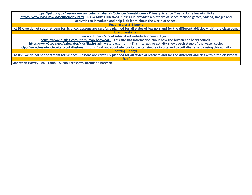**https://pstt.org.uk/resources/curriculum-materials/Science-Fun-at-Home - Primary Science Trust – Home learning links. https://www.nasa.gov/kidsclub/index.html - NASA Kids' Club NASA Kids' Club provides a plethora of space focused games, videos, images and activities to introduce and help kids learn about the world of space. Reading List & E-books At BSK we do not set or stream for Science. Lessons are carefully planned for all styles of learners and for the different abilities within the classroom. Useful Websites www.ixl.com – School subscribed website for core subjects. https://www.q-files.com/life/human-body/ear/ - This site has information about how the human ear hears sounds. https://www3.epa.gov/safewater/kids/flash/flash\_watercycle.html - This interactive activity shows each stage of the water cycle. http://www.learningcircuits.co.uk/flashmain.htm - Find out about electricity basics, simple circuits and circuit diagrams by using this activity. Setting (if any) At BSK we do not set or stream for Science. Lessons are carefully planned for all styles of learners and for the different abilities within the classroom. Staff Jonathan Harvey, Mali Tambi, Alison Earnshaw, Brendan Chapman**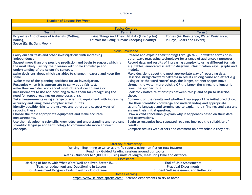| <b>Number of Lessons Per Week</b>                                                                                                                                                                                                                                                                                                                                                                                                                                                                                                                                                                                                                                                                                                                                                                                                                                                                                                                                                                                                                                                                                                                                    |                                                                                              | $\overline{2}$                                                                                                                                                                                                                                                                                                                                                                                                                                                                                                                                                                                                                                                                                                                                                                                                                                                                                                                                                                                                                                                                                                                                                                      |                                                                                |  |
|----------------------------------------------------------------------------------------------------------------------------------------------------------------------------------------------------------------------------------------------------------------------------------------------------------------------------------------------------------------------------------------------------------------------------------------------------------------------------------------------------------------------------------------------------------------------------------------------------------------------------------------------------------------------------------------------------------------------------------------------------------------------------------------------------------------------------------------------------------------------------------------------------------------------------------------------------------------------------------------------------------------------------------------------------------------------------------------------------------------------------------------------------------------------|----------------------------------------------------------------------------------------------|-------------------------------------------------------------------------------------------------------------------------------------------------------------------------------------------------------------------------------------------------------------------------------------------------------------------------------------------------------------------------------------------------------------------------------------------------------------------------------------------------------------------------------------------------------------------------------------------------------------------------------------------------------------------------------------------------------------------------------------------------------------------------------------------------------------------------------------------------------------------------------------------------------------------------------------------------------------------------------------------------------------------------------------------------------------------------------------------------------------------------------------------------------------------------------------|--------------------------------------------------------------------------------|--|
|                                                                                                                                                                                                                                                                                                                                                                                                                                                                                                                                                                                                                                                                                                                                                                                                                                                                                                                                                                                                                                                                                                                                                                      |                                                                                              |                                                                                                                                                                                                                                                                                                                                                                                                                                                                                                                                                                                                                                                                                                                                                                                                                                                                                                                                                                                                                                                                                                                                                                                     |                                                                                |  |
| <b>Topics Covered</b>                                                                                                                                                                                                                                                                                                                                                                                                                                                                                                                                                                                                                                                                                                                                                                                                                                                                                                                                                                                                                                                                                                                                                |                                                                                              |                                                                                                                                                                                                                                                                                                                                                                                                                                                                                                                                                                                                                                                                                                                                                                                                                                                                                                                                                                                                                                                                                                                                                                                     |                                                                                |  |
| Term 1                                                                                                                                                                                                                                                                                                                                                                                                                                                                                                                                                                                                                                                                                                                                                                                                                                                                                                                                                                                                                                                                                                                                                               | Term <sub>2</sub>                                                                            |                                                                                                                                                                                                                                                                                                                                                                                                                                                                                                                                                                                                                                                                                                                                                                                                                                                                                                                                                                                                                                                                                                                                                                                     | Term <sub>3</sub>                                                              |  |
| Properties And Change of Materials (Melting,<br><b>Boiling)</b><br>Space (Earth, Sun, Moon)                                                                                                                                                                                                                                                                                                                                                                                                                                                                                                                                                                                                                                                                                                                                                                                                                                                                                                                                                                                                                                                                          | Living Things And Their Habitats (Life Cycles)<br>Animals Including Humans (Keeping Healthy) |                                                                                                                                                                                                                                                                                                                                                                                                                                                                                                                                                                                                                                                                                                                                                                                                                                                                                                                                                                                                                                                                                                                                                                                     | Forces (Air Resistance, Water Resistance,<br><b>Pulleys, Gears and Levers)</b> |  |
|                                                                                                                                                                                                                                                                                                                                                                                                                                                                                                                                                                                                                                                                                                                                                                                                                                                                                                                                                                                                                                                                                                                                                                      |                                                                                              |                                                                                                                                                                                                                                                                                                                                                                                                                                                                                                                                                                                                                                                                                                                                                                                                                                                                                                                                                                                                                                                                                                                                                                                     |                                                                                |  |
|                                                                                                                                                                                                                                                                                                                                                                                                                                                                                                                                                                                                                                                                                                                                                                                                                                                                                                                                                                                                                                                                                                                                                                      |                                                                                              | Present and explain their findings through talk, in written forms or in                                                                                                                                                                                                                                                                                                                                                                                                                                                                                                                                                                                                                                                                                                                                                                                                                                                                                                                                                                                                                                                                                                             |                                                                                |  |
| <b>Skills Developed</b><br>Carry our fair tests and other investigations with increasing<br>independence.<br>Suggest more than one possible prediction and begin to suggest which is<br>the most likely. Justify their reason with some knowledge and<br>understanding of the scientific concept.<br>Make decisions about which variables to change, measure and keep the<br>same.<br>Make most of the planning decisions for an investigation.<br>Recognise when it is appropriate to carry out a fair test.<br>Make their own decisions about what observations to make or<br>measurements to use and how long to take them for (recognising the<br>need for repeat readings on some occasions).<br>Take measurements using a range of scientific equipment with increasing<br>accuracy and using more complex scales / units.<br>Identify possible risks to themselves and others and suggest ways of<br>reducing these.<br>Choose the most appropriate equipment and make accurate<br>measurements.<br>Use their developing scientific knowledge and understanding and relevant<br>scientific language and terminology to communicate more abstract<br>concepts. |                                                                                              | other ways (e.g. using technology) for a range of audiences / purposes.<br>Record data and results of increasing complexity using different formats<br>e.g. tables, annotated scientific diagrams, classification keys, graphs and<br>models.<br>Make decisions about the most appropriate way of recording data.<br>Describe straightforward patterns in results linking cause and effect e.g.<br>using er or the word 'more' (e.g. the longer, thinner shapes move<br>through the water more quickly OR the larger the wings, the longer it<br>takes the spinner to fall).<br>Look for / notice relationships between things and begin to describe<br>these.<br>Comment on the results and whether they support the initial prediction.<br>Use their scientific knowledge and understanding and appropriate<br>scientific language and terminology to explain their findings and data and<br>answer their initial question.<br>Draw a valid conclusion (explain why it happened) based on their data<br>and observations.<br>Begin to recognise how repeated readings improve the reliability of<br>results.<br>Compare results with others and comment on how reliable they are. |                                                                                |  |
|                                                                                                                                                                                                                                                                                                                                                                                                                                                                                                                                                                                                                                                                                                                                                                                                                                                                                                                                                                                                                                                                                                                                                                      |                                                                                              | <b>Literacy &amp; Numeracy</b>                                                                                                                                                                                                                                                                                                                                                                                                                                                                                                                                                                                                                                                                                                                                                                                                                                                                                                                                                                                                                                                                                                                                                      |                                                                                |  |
| Writing - Beginning to write scientific reports using non-fiction text features.                                                                                                                                                                                                                                                                                                                                                                                                                                                                                                                                                                                                                                                                                                                                                                                                                                                                                                                                                                                                                                                                                     |                                                                                              |                                                                                                                                                                                                                                                                                                                                                                                                                                                                                                                                                                                                                                                                                                                                                                                                                                                                                                                                                                                                                                                                                                                                                                                     |                                                                                |  |
| Reading - Guided Reading sessions around our topics.                                                                                                                                                                                                                                                                                                                                                                                                                                                                                                                                                                                                                                                                                                                                                                                                                                                                                                                                                                                                                                                                                                                 |                                                                                              |                                                                                                                                                                                                                                                                                                                                                                                                                                                                                                                                                                                                                                                                                                                                                                                                                                                                                                                                                                                                                                                                                                                                                                                     |                                                                                |  |
| Maths - Numbers to 1,000,000, using units of length, measuring time and distance.<br><b>Assessment</b>                                                                                                                                                                                                                                                                                                                                                                                                                                                                                                                                                                                                                                                                                                                                                                                                                                                                                                                                                                                                                                                               |                                                                                              |                                                                                                                                                                                                                                                                                                                                                                                                                                                                                                                                                                                                                                                                                                                                                                                                                                                                                                                                                                                                                                                                                                                                                                                     |                                                                                |  |
| Marking of Books with What Went Well and Even Better If                                                                                                                                                                                                                                                                                                                                                                                                                                                                                                                                                                                                                                                                                                                                                                                                                                                                                                                                                                                                                                                                                                              |                                                                                              | <b>End of Unit Assessments</b>                                                                                                                                                                                                                                                                                                                                                                                                                                                                                                                                                                                                                                                                                                                                                                                                                                                                                                                                                                                                                                                                                                                                                      |                                                                                |  |
| <b>Teacher Judgement and Questioning In Lesson</b>                                                                                                                                                                                                                                                                                                                                                                                                                                                                                                                                                                                                                                                                                                                                                                                                                                                                                                                                                                                                                                                                                                                   |                                                                                              | <b>Practical Experiments</b>                                                                                                                                                                                                                                                                                                                                                                                                                                                                                                                                                                                                                                                                                                                                                                                                                                                                                                                                                                                                                                                                                                                                                        |                                                                                |  |
| GL Assessment Progress Tests in Maths - End of Year                                                                                                                                                                                                                                                                                                                                                                                                                                                                                                                                                                                                                                                                                                                                                                                                                                                                                                                                                                                                                                                                                                                  |                                                                                              | <b>Student Self Assessment and Reflection</b>                                                                                                                                                                                                                                                                                                                                                                                                                                                                                                                                                                                                                                                                                                                                                                                                                                                                                                                                                                                                                                                                                                                                       |                                                                                |  |
|                                                                                                                                                                                                                                                                                                                                                                                                                                                                                                                                                                                                                                                                                                                                                                                                                                                                                                                                                                                                                                                                                                                                                                      |                                                                                              | <b>Home Learning</b>                                                                                                                                                                                                                                                                                                                                                                                                                                                                                                                                                                                                                                                                                                                                                                                                                                                                                                                                                                                                                                                                                                                                                                |                                                                                |  |
|                                                                                                                                                                                                                                                                                                                                                                                                                                                                                                                                                                                                                                                                                                                                                                                                                                                                                                                                                                                                                                                                                                                                                                      |                                                                                              | https://www.science-sparks.com/ - Science experiments to try at home.                                                                                                                                                                                                                                                                                                                                                                                                                                                                                                                                                                                                                                                                                                                                                                                                                                                                                                                                                                                                                                                                                                               |                                                                                |  |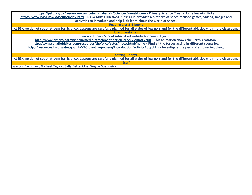| https://pstt.org.uk/resources/curriculum-materials/Science-Fun-at-Home - Primary Science Trust - Home learning links.                                      |  |  |  |
|------------------------------------------------------------------------------------------------------------------------------------------------------------|--|--|--|
| https://www.nasa.gov/kidsclub/index.html - NASA Kids' Club NASA Kids' Club provides a plethora of space focused games, videos, images and                  |  |  |  |
| activities to introduce and help kids learn about the world of space.                                                                                      |  |  |  |
| <b>Reading List &amp; E-books</b>                                                                                                                          |  |  |  |
| At BSK we do not set or stream for Science. Lessons are carefully planned for all styles of learners and for the different abilities within the classroom. |  |  |  |
| <b>Useful Websites</b>                                                                                                                                     |  |  |  |
| www.ixl.com - School subscribed website for core subjects.                                                                                                 |  |  |  |
| http://www.absorblearning.com/media/attachment.action?quick=9y&att=708 - This animation shows the Earth's rotation.                                        |  |  |  |
| http://www.sellafieldsites.com/resources/theforcefactor/index.html#home - Find all the forces acting in different scenarios.                               |  |  |  |
| http://resources.hwb.wales.gov.uk/VTC/plant_repro/eng/Introduction/activity1pop.htm - Investigate the parts of a flowering plant.                          |  |  |  |
|                                                                                                                                                            |  |  |  |
| Setting (if any)                                                                                                                                           |  |  |  |
| At BSK we do not set or stream for Science. Lessons are carefully planned for all styles of learners and for the different abilities within the classroom. |  |  |  |
| <b>Staff</b>                                                                                                                                               |  |  |  |
| Marcus Earnshaw, Michael Taylor, Sally Betteridge, Wayne Spanswick                                                                                         |  |  |  |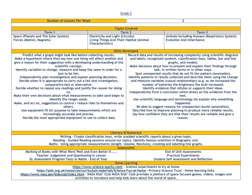| <b>Number of Lessons Per Week</b>                                                                                                         |                                                                                             | $\overline{2}$                                                                                                                              |                                                                           |  |
|-------------------------------------------------------------------------------------------------------------------------------------------|---------------------------------------------------------------------------------------------|---------------------------------------------------------------------------------------------------------------------------------------------|---------------------------------------------------------------------------|--|
|                                                                                                                                           |                                                                                             |                                                                                                                                             |                                                                           |  |
| <b>Topics Covered</b>                                                                                                                     |                                                                                             |                                                                                                                                             |                                                                           |  |
| Term 1                                                                                                                                    | Term 2                                                                                      |                                                                                                                                             | Term <sub>3</sub>                                                         |  |
| <b>Space (Planets and The Solar System)</b>                                                                                               | <b>Electricity and Light (Circuits)</b>                                                     |                                                                                                                                             | <b>Animals Including Humans (Respiratory System)</b>                      |  |
| Forces (Motion, Magnets)                                                                                                                  | <b>Living Things And Their Habitat (Animal</b>                                              |                                                                                                                                             | <b>Evolution And Inheritance</b>                                          |  |
|                                                                                                                                           | <b>Characteristics</b> )                                                                    |                                                                                                                                             |                                                                           |  |
|                                                                                                                                           |                                                                                             |                                                                                                                                             |                                                                           |  |
|                                                                                                                                           |                                                                                             | <b>Skills Developed</b>                                                                                                                     |                                                                           |  |
| Predict what a graph might look like before collecting results.                                                                           |                                                                                             | Record data and results of increasing complexity using scientific diagrams                                                                  |                                                                           |  |
| Make a hypothesis where they say how one thing will affect another and                                                                    |                                                                                             | and labels, recognised symbols, classification keys, tables, bar and line                                                                   |                                                                           |  |
| give a reason for their suggestion with a developing understanding of the                                                                 |                                                                                             | graphs, and models.                                                                                                                         |                                                                           |  |
| scientific concept.                                                                                                                       |                                                                                             |                                                                                                                                             | Make decisions about how to present and explain their findings through    |  |
| Identify variables to change, measure and keep the same in order for a                                                                    |                                                                                             |                                                                                                                                             | talk, in written forms or in other ways.                                  |  |
| test to be fair.                                                                                                                          |                                                                                             |                                                                                                                                             | Spot unexpected results that do not fit the pattern (anomalies).          |  |
| Independently plan investigations and explain planning decisions.                                                                         |                                                                                             |                                                                                                                                             | Identify patterns in results collected and describe them using the change |  |
| Decide when it is appropriate to carry out a fair test investigation,                                                                     |                                                                                             |                                                                                                                                             | and measure variables (causal relationships) (e.g. as we increased the    |  |
| comparative test or alternative.                                                                                                          |                                                                                             |                                                                                                                                             | number of batteries the brightness the bulb increased.                    |  |
| Decide whether to repeat any readings and justify the reason for doing                                                                    |                                                                                             |                                                                                                                                             | Identify evidence that refutes or supports their ideas.                   |  |
| SO <sub>2</sub>                                                                                                                           |                                                                                             | Independently form a conclusion which draws on the evidence from the                                                                        |                                                                           |  |
| Make their own decisions about what measurements to take (and begin to                                                                    |                                                                                             | test.                                                                                                                                       |                                                                           |  |
| identify the ranges used).                                                                                                                |                                                                                             | Use scientific language and terminology (to explain why something<br>happened.                                                              |                                                                           |  |
| Make, and act on, suggestions to control / reduce risks to themselves and                                                                 |                                                                                             | Be able to suggest reasons for unexpected results (anomalies).                                                                              |                                                                           |  |
| others.<br>Use equipment fit for purpose to take measurements which are                                                                   |                                                                                             |                                                                                                                                             |                                                                           |  |
|                                                                                                                                           |                                                                                             | Describe how to improve planning to produce more reliable results.<br>Say how confident they are that their results are reliable and give a |                                                                           |  |
| increasingly accurate and precise.<br>Decide the most appropriate equipment to use to collect data                                        |                                                                                             | reason.                                                                                                                                     |                                                                           |  |
|                                                                                                                                           |                                                                                             |                                                                                                                                             |                                                                           |  |
|                                                                                                                                           |                                                                                             |                                                                                                                                             |                                                                           |  |
|                                                                                                                                           |                                                                                             |                                                                                                                                             |                                                                           |  |
| <b>Literacy &amp; Numeracy</b>                                                                                                            |                                                                                             |                                                                                                                                             |                                                                           |  |
|                                                                                                                                           | Writing - Create classification keys, write unaided scientific reports about a given topic. |                                                                                                                                             |                                                                           |  |
| Reading - Guided Reading sessions around our topics. Identify famous scientists in Biography unit.                                        |                                                                                             |                                                                                                                                             |                                                                           |  |
| Maths - Using appropriate measurements (length, volume, Newtons), creating and labelling line graphs.                                     |                                                                                             |                                                                                                                                             |                                                                           |  |
| <b>Assessment</b>                                                                                                                         |                                                                                             |                                                                                                                                             |                                                                           |  |
| Marking of Books with What Went Well and Even Better If                                                                                   |                                                                                             | <b>End of Unit Assessments</b>                                                                                                              |                                                                           |  |
| <b>Teacher Judgement and Questioning In Lesson</b>                                                                                        |                                                                                             |                                                                                                                                             | <b>Practical Experiments</b>                                              |  |
| GL Assessment Progress Tests in Maths - End of Year                                                                                       |                                                                                             | <b>Student Self Assessment and Reflection</b>                                                                                               |                                                                           |  |
|                                                                                                                                           |                                                                                             | <b>Home Learning</b>                                                                                                                        |                                                                           |  |
|                                                                                                                                           | https://www.science-sparks.com/ - Science experiments to try at home.                       |                                                                                                                                             |                                                                           |  |
| https://pstt.org.uk/resources/curriculum-materials/Science-Fun-at-Home - Primary Science Trust - Home learning links.                     |                                                                                             |                                                                                                                                             |                                                                           |  |
| https://www.nasa.gov/kidsclub/index.html - NASA Kids' Club NASA Kids' Club provides a plethora of space focused games, videos, images and |                                                                                             |                                                                                                                                             |                                                                           |  |
|                                                                                                                                           | activities to introduce and help kids learn about the world of space.                       |                                                                                                                                             |                                                                           |  |